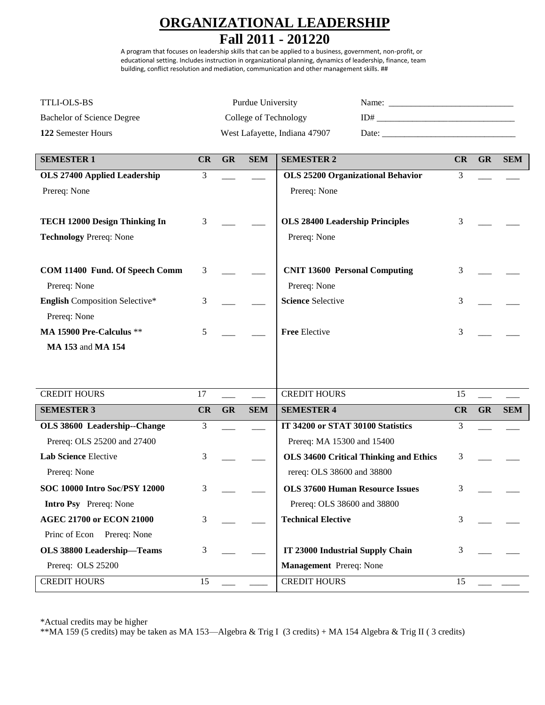## **ORGANIZATIONAL LEADERSHIP**

## **Fall 2011 - 201220**

A program that focuses on leadership skills that can be applied to a business, government, non-profit, or educational setting. Includes instruction in organizational planning, dynamics of leadership, finance, team building, conflict resolution and mediation, communication and other management skills. ##

| <b>TTLI-OLS-BS</b>                                    |    |                               | Purdue University                                                                                                                                                                                                              |                                               |    |           |            |
|-------------------------------------------------------|----|-------------------------------|--------------------------------------------------------------------------------------------------------------------------------------------------------------------------------------------------------------------------------|-----------------------------------------------|----|-----------|------------|
| <b>Bachelor of Science Degree</b>                     |    |                               |                                                                                                                                                                                                                                | College of Technology                         |    |           |            |
| 122 Semester Hours                                    |    | West Lafayette, Indiana 47907 | Date: the contract of the contract of the contract of the contract of the contract of the contract of the contract of the contract of the contract of the contract of the contract of the contract of the contract of the cont |                                               |    |           |            |
| <b>SEMESTER 1</b>                                     | CR | <b>GR</b>                     | <b>SEM</b>                                                                                                                                                                                                                     | <b>SEMESTER 2</b>                             | CR | <b>GR</b> | <b>SEM</b> |
| <b>OLS 27400 Applied Leadership</b>                   | 3  |                               |                                                                                                                                                                                                                                | <b>OLS 25200 Organizational Behavior</b>      | 3  |           |            |
| Prereq: None                                          |    |                               |                                                                                                                                                                                                                                | Prereq: None                                  |    |           |            |
| TECH 12000 Design Thinking In                         | 3  |                               |                                                                                                                                                                                                                                | <b>OLS 28400 Leadership Principles</b>        | 3  |           |            |
| <b>Technology Prereq: None</b>                        |    |                               |                                                                                                                                                                                                                                | Prereq: None                                  |    |           |            |
| COM 11400 Fund. Of Speech Comm                        | 3  |                               |                                                                                                                                                                                                                                | <b>CNIT 13600 Personal Computing</b>          | 3  |           |            |
| Prereq: None                                          |    |                               |                                                                                                                                                                                                                                | Prereq: None                                  |    |           |            |
| <b>English Composition Selective*</b><br>Prereq: None | 3  |                               |                                                                                                                                                                                                                                | <b>Science Selective</b>                      | 3  |           |            |
| MA 15900 Pre-Calculus **                              | 5  |                               |                                                                                                                                                                                                                                | <b>Free Elective</b>                          | 3  |           |            |
| <b>MA 153 and MA 154</b>                              |    |                               |                                                                                                                                                                                                                                |                                               |    |           |            |
|                                                       |    |                               |                                                                                                                                                                                                                                |                                               |    |           |            |
| <b>CREDIT HOURS</b>                                   | 17 |                               |                                                                                                                                                                                                                                | <b>CREDIT HOURS</b>                           | 15 |           |            |
| <b>SEMESTER 3</b>                                     | CR | <b>GR</b>                     | <b>SEM</b>                                                                                                                                                                                                                     | <b>SEMESTER 4</b>                             | CR | <b>GR</b> | <b>SEM</b> |
| OLS 38600 Leadership--Change                          | 3  |                               |                                                                                                                                                                                                                                | IT 34200 or STAT 30100 Statistics             | 3  |           |            |
| Prereq: OLS 25200 and 27400                           |    |                               |                                                                                                                                                                                                                                | Prereq: MA 15300 and 15400                    |    |           |            |
| Lab Science Elective                                  | 3  |                               |                                                                                                                                                                                                                                | <b>OLS 34600 Critical Thinking and Ethics</b> | 3  |           |            |
| Prereq: None                                          |    |                               |                                                                                                                                                                                                                                | rereq: OLS 38600 and 38800                    |    |           |            |
| <b>SOC 10000 Intro Soc/PSY 12000</b>                  | 3  |                               |                                                                                                                                                                                                                                | <b>OLS 37600 Human Resource Issues</b>        | 3  |           |            |
| <b>Intro Psy</b> Prereq: None                         |    |                               |                                                                                                                                                                                                                                | Prereq: OLS 38600 and 38800                   |    |           |            |
| <b>AGEC 21700 or ECON 21000</b>                       | 3  |                               |                                                                                                                                                                                                                                | <b>Technical Elective</b>                     | 3  |           |            |
| Princ of Econ Prereq: None                            |    |                               |                                                                                                                                                                                                                                |                                               |    |           |            |
| OLS 38800 Leadership-Teams                            | 3  |                               |                                                                                                                                                                                                                                | IT 23000 Industrial Supply Chain              | 3  |           |            |
| Prereq: OLS 25200                                     |    |                               |                                                                                                                                                                                                                                | Management Prereq: None                       |    |           |            |
| <b>CREDIT HOURS</b>                                   | 15 |                               |                                                                                                                                                                                                                                | <b>CREDIT HOURS</b>                           | 15 |           |            |

\*Actual credits may be higher

\*\*MA 159 (5 credits) may be taken as MA 153—Algebra & Trig I (3 credits) + MA 154 Algebra & Trig II ( 3 credits)